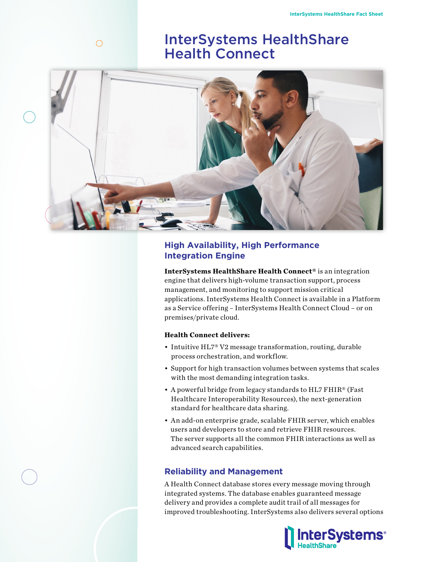# InterSystems HealthShare Health Connect



# **High Availability, High Performance Integration Engine**

**InterSystems HealthShare Health Connect®** is an integration engine that delivers high-volume transaction support, process management, and monitoring to support mission critical applications. InterSystems Health Connect is available in a Platform as a Service offering – InterSystems Health Connect Cloud – or on premises/private cloud.

#### **Health Connect delivers:**

- Intuitive HL7® V2 message transformation, routing, durable process orchestration, and workflow.
- Support for high transaction volumes between systems that scales with the most demanding integration tasks.
- A powerful bridge from legacy standards to HL7 FHIR® (Fast Healthcare Interoperability Resources), the next-generation standard for healthcare data sharing.
- An add-on enterprise grade, scalable FHIR server, which enables users and developers to store and retrieve FHIR resources. The server supports all the common FHIR interactions as well as advanced search capabilities.

## **Reliability and Management**

A Health Connect database stores every message moving through integrated systems. The database enables guaranteed message delivery and provides a complete audit trail of all messages for improved troubleshooting. InterSystems also delivers several options



 $\bigcirc$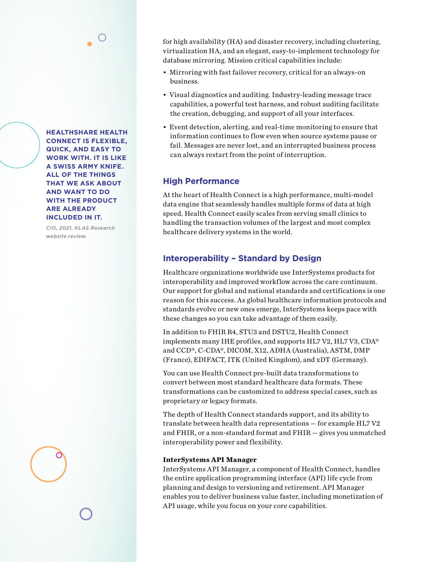**HEALTHSHARE HEALTH CONNECT IS FLEXIBLE, QUICK, AND EASY TO WORK WITH. IT IS LIKE A SWISS ARMY KNIFE. ALL OF THE THINGS THAT WE ASK ABOUT AND WANT TO DO WITH THE PRODUCT ARE ALREADY INCLUDED IN IT.** 

*CIO, 2021, KLAS Research website review.*

for high availability (HA) and disaster recovery, including clustering, virtualization HA, and an elegant, easy-to-implement technology for database mirroring. Mission critical capabilities include:

- Mirroring with fast failover recovery, critical for an always-on business.
- Visual diagnostics and auditing. Industry-leading message trace capabilities, a powerful test harness, and robust auditing facilitate the creation, debugging, and support of all your interfaces.
- Event detection, alerting, and real-time monitoring to ensure that information continues to flow even when source systems pause or fail. Messages are never lost, and an interrupted business process can always restart from the point of interruption.

# **High Performance**

At the heart of Health Connect is a high performance, multi-model data engine that seamlessly handles multiple forms of data at high speed. Health Connect easily scales from serving small clinics to handling the transaction volumes of the largest and most complex healthcare delivery systems in the world.

# **Interoperability – Standard by Design**

Healthcare organizations worldwide use InterSystems products for interoperability and improved workflow across the care continuum. Our support for global and national standards and certifications is one reason for this success. As global healthcare information protocols and standards evolve or new ones emerge, InterSystems keeps pace with these changes so you can take advantage of them easily.

In addition to FHIR R4, STU3 and DSTU2, Health Connect implements many IHE profiles, and supports HL7 V2, HL7 V3, CDA® and CCD®, C-CDA®, DICOM, X12, ADHA (Australia), ASTM, DMP (France), EDIFACT, ITK (United Kingdom), and xDT (Germany).

You can use Health Connect pre-built data transformations to convert between most standard healthcare data formats. These transformations can be customized to address special cases, such as proprietary or legacy formats.

The depth of Health Connect standards support, and its ability to translate between health data representations — for example HL7 V2 and FHIR, or a non-standard format and FHIR — gives you unmatched interoperability power and flexibility.

#### **InterSystems API Manager**

InterSystems API Manager, a component of Health Connect, handles the entire application programming interface (API) life cycle from planning and design to versioning and retirement. API Manager enables you to deliver business value faster, including monetization of API usage, while you focus on your core capabilities.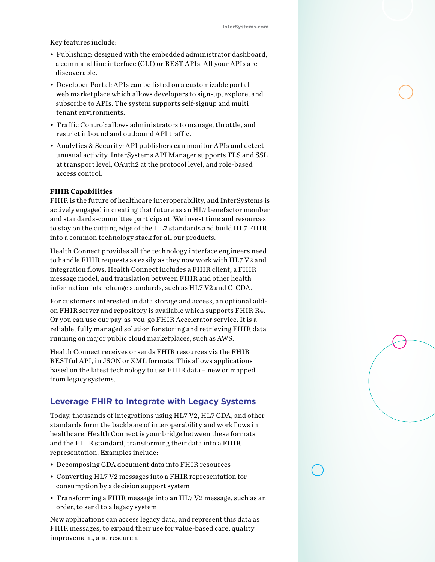Key features include:

- Publishing: designed with the embedded administrator dashboard, a command line interface (CLI) or REST APIs. All your APIs are discoverable.
- Developer Portal: APIs can be listed on a customizable portal web marketplace which allows developers to sign-up, explore, and subscribe to APIs. The system supports self-signup and multi tenant environments.
- Traffic Control: allows administrators to manage, throttle, and restrict inbound and outbound API traffic.
- Analytics & Security: API publishers can monitor APIs and detect unusual activity. InterSystems API Manager supports TLS and SSL at transport level, OAuth2 at the protocol level, and role-based access control.

#### **FHIR Capabilities**

FHIR is the future of healthcare interoperability, and InterSystems is actively engaged in creating that future as an HL7 benefactor member and standards-committee participant. We invest time and resources to stay on the cutting edge of the HL7 standards and build HL7 FHIR into a common technology stack for all our products.

Health Connect provides all the technology interface engineers need to handle FHIR requests as easily as they now work with HL7 V2 and integration flows. Health Connect includes a FHIR client, a FHIR message model, and translation between FHIR and other health information interchange standards, such as HL7 V2 and C-CDA.

For customers interested in data storage and access, an optional addon FHIR server and repository is available which supports FHIR R4. Or you can use our pay-as-you-go FHIR Accelerator service. It is a reliable, fully managed solution for storing and retrieving FHIR data running on major public cloud marketplaces, such as AWS.

Health Connect receives or sends FHIR resources via the FHIR RESTful API, in JSON or XML formats. This allows applications based on the latest technology to use FHIR data – new or mapped from legacy systems.

#### **Leverage FHIR to Integrate with Legacy Systems**

Today, thousands of integrations using HL7 V2, HL7 CDA, and other standards form the backbone of interoperability and workflows in healthcare. Health Connect is your bridge between these formats and the FHIR standard, transforming their data into a FHIR representation. Examples include:

- Decomposing CDA document data into FHIR resources
- Converting HL7 V2 messages into a FHIR representation for consumption by a decision support system
- Transforming a FHIR message into an HL7 V2 message, such as an order, to send to a legacy system

New applications can access legacy data, and represent this data as FHIR messages, to expand their use for value-based care, quality improvement, and research.